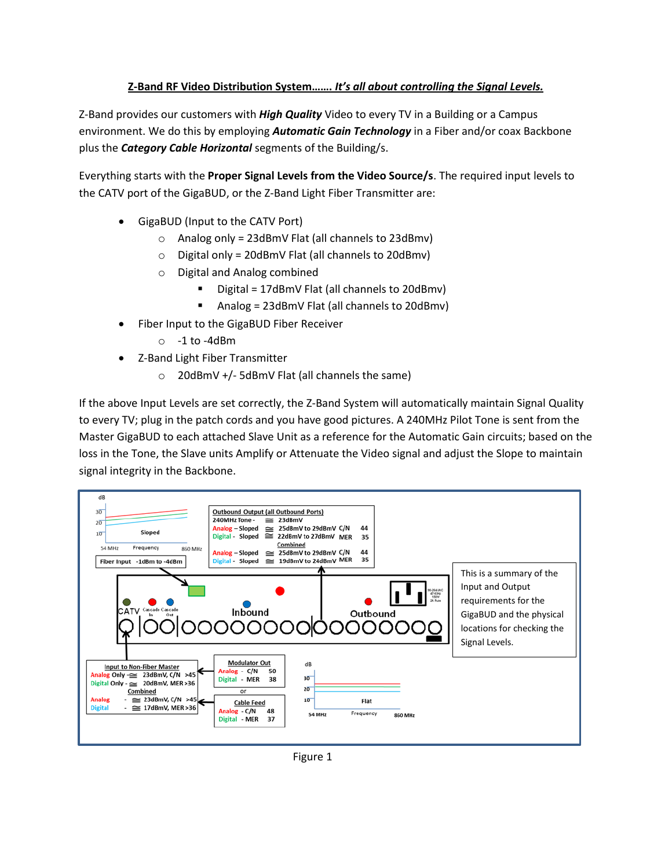## **Z-Band RF Video Distribution System…….** *It's all about controlling the Signal Levels.*

Z-Band provides our customers with *High Quality* Video to every TV in a Building or a Campus environment. We do this by employing *Automatic Gain Technology* in a Fiber and/or coax Backbone plus the *Category Cable Horizontal* segments of the Building/s.

Everything starts with the **Proper Signal Levels from the Video Source/s**. The required input levels to the CATV port of the GigaBUD, or the Z-Band Light Fiber Transmitter are:

- GigaBUD (Input to the CATV Port)
	- $\circ$  Analog only = 23dBmV Flat (all channels to 23dBmv)
	- $\circ$  Digital only = 20dBmV Flat (all channels to 20dBmv)
	- o Digital and Analog combined
		- Digital = 17dBmV Flat (all channels to 20dBmv)
		- Analog = 23dBmV Flat (all channels to 20dBmv)
	- Fiber Input to the GigaBUD Fiber Receiver
		- $\circ$  -1 to -4dBm
- Z-Band Light Fiber Transmitter
	- o 20dBmV +/- 5dBmV Flat (all channels the same)

If the above Input Levels are set correctly, the Z-Band System will automatically maintain Signal Quality to every TV; plug in the patch cords and you have good pictures. A 240MHz Pilot Tone is sent from the Master GigaBUD to each attached Slave Unit as a reference for the Automatic Gain circuits; based on the loss in the Tone, the Slave units Amplify or Attenuate the Video signal and adjust the Slope to maintain signal integrity in the Backbone.



Figure 1